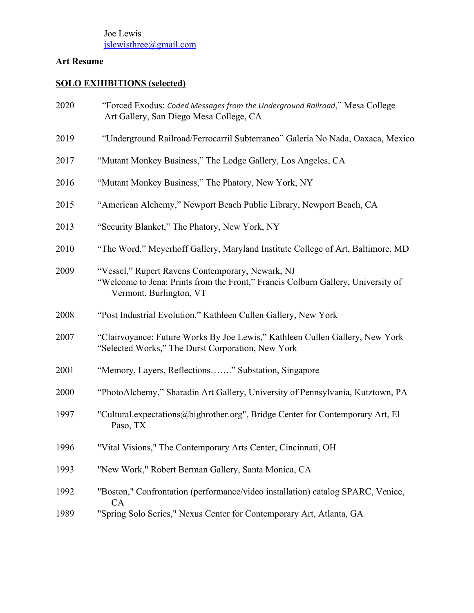# **Art Resume**

# **SOLO EXHIBITIONS (selected)**

| 2020 | "Forced Exodus: Coded Messages from the Underground Railroad," Mesa College<br>Art Gallery, San Diego Mesa College, CA                                          |
|------|-----------------------------------------------------------------------------------------------------------------------------------------------------------------|
| 2019 | "Underground Railroad/Ferrocarril Subterraneo" Galeria No Nada, Oaxaca, Mexico                                                                                  |
| 2017 | "Mutant Monkey Business," The Lodge Gallery, Los Angeles, CA                                                                                                    |
| 2016 | "Mutant Monkey Business," The Phatory, New York, NY                                                                                                             |
| 2015 | "American Alchemy," Newport Beach Public Library, Newport Beach, CA                                                                                             |
| 2013 | "Security Blanket," The Phatory, New York, NY                                                                                                                   |
| 2010 | "The Word," Meyerhoff Gallery, Maryland Institute College of Art, Baltimore, MD                                                                                 |
| 2009 | "Vessel," Rupert Ravens Contemporary, Newark, NJ<br>"Welcome to Jena: Prints from the Front," Francis Colburn Gallery, University of<br>Vermont, Burlington, VT |
| 2008 | "Post Industrial Evolution," Kathleen Cullen Gallery, New York                                                                                                  |
| 2007 | "Clairvoyance: Future Works By Joe Lewis," Kathleen Cullen Gallery, New York<br>"Selected Works," The Durst Corporation, New York                               |
| 2001 | "Memory, Layers, Reflections" Substation, Singapore                                                                                                             |
| 2000 | "PhotoAlchemy," Sharadin Art Gallery, University of Pennsylvania, Kutztown, PA                                                                                  |
| 1997 | "Cultural.expectations@bigbrother.org", Bridge Center for Contemporary Art, El<br>Paso, TX                                                                      |
| 1996 | "Vital Visions," The Contemporary Arts Center, Cincinnati, OH                                                                                                   |
| 1993 | "New Work," Robert Berman Gallery, Santa Monica, CA                                                                                                             |
| 1992 | "Boston," Confrontation (performance/video installation) catalog SPARC, Venice,                                                                                 |
| 1989 | <b>CA</b><br>"Spring Solo Series," Nexus Center for Contemporary Art, Atlanta, GA                                                                               |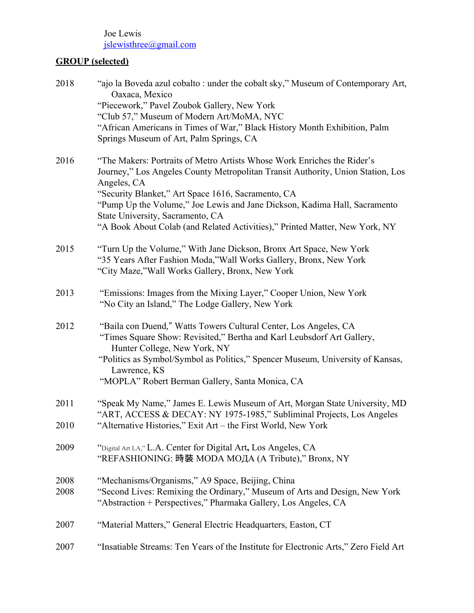# **GROUP (selected)**

| 2018         | "ajo la Boveda azul cobalto : under the cobalt sky," Museum of Contemporary Art,<br>Oaxaca, Mexico                                                                                                                                                                                                                              |
|--------------|---------------------------------------------------------------------------------------------------------------------------------------------------------------------------------------------------------------------------------------------------------------------------------------------------------------------------------|
|              | "Piecework," Pavel Zoubok Gallery, New York                                                                                                                                                                                                                                                                                     |
|              | "Club 57," Museum of Modern Art/MoMA, NYC                                                                                                                                                                                                                                                                                       |
|              | "African Americans in Times of War," Black History Month Exhibition, Palm<br>Springs Museum of Art, Palm Springs, CA                                                                                                                                                                                                            |
| 2016         | "The Makers: Portraits of Metro Artists Whose Work Enriches the Rider's<br>Journey," Los Angeles County Metropolitan Transit Authority, Union Station, Los<br>Angeles, CA                                                                                                                                                       |
|              | "Security Blanket," Art Space 1616, Sacramento, CA<br>"Pump Up the Volume," Joe Lewis and Jane Dickson, Kadima Hall, Sacramento                                                                                                                                                                                                 |
|              | State University, Sacramento, CA<br>"A Book About Colab (and Related Activities)," Printed Matter, New York, NY                                                                                                                                                                                                                 |
| 2015         | "Turn Up the Volume," With Jane Dickson, Bronx Art Space, New York<br>"35 Years After Fashion Moda," Wall Works Gallery, Bronx, New York<br>"City Maze," Wall Works Gallery, Bronx, New York                                                                                                                                    |
| 2013         | "Emissions: Images from the Mixing Layer," Cooper Union, New York<br>"No City an Island," The Lodge Gallery, New York                                                                                                                                                                                                           |
| 2012         | "Baila con Duend," Watts Towers Cultural Center, Los Angeles, CA<br>"Times Square Show: Revisited," Bertha and Karl Leubsdorf Art Gallery,<br>Hunter College, New York, NY<br>"Politics as Symbol/Symbol as Politics," Spencer Museum, University of Kansas,<br>Lawrence, KS<br>"MOPLA" Robert Berman Gallery, Santa Monica, CA |
| 2011         | "Speak My Name," James E. Lewis Museum of Art, Morgan State University, MD<br>"ART, ACCESS & DECAY: NY 1975-1985," Subliminal Projects, Los Angeles                                                                                                                                                                             |
| 2010         | "Alternative Histories," Exit Art - the First World, New York                                                                                                                                                                                                                                                                   |
| 2009         | "Digital Art LA," L.A. Center for Digital Art, Los Angeles, CA<br>"REFASHIONING: 時裝 MODA MOДA (A Tribute)," Bronx, NY                                                                                                                                                                                                           |
| 2008<br>2008 | "Mechanisms/Organisms," A9 Space, Beijing, China<br>"Second Lives: Remixing the Ordinary," Museum of Arts and Design, New York<br>"Abstraction + Perspectives," Pharmaka Gallery, Los Angeles, CA                                                                                                                               |
| 2007         | "Material Matters," General Electric Headquarters, Easton, CT                                                                                                                                                                                                                                                                   |
| 2007         | "Insatiable Streams: Ten Years of the Institute for Electronic Arts," Zero Field Art                                                                                                                                                                                                                                            |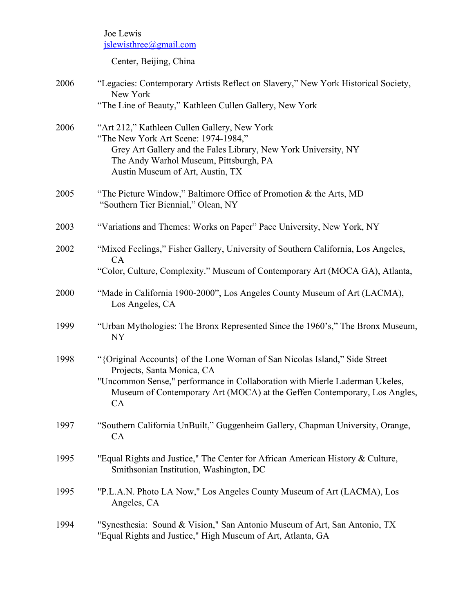Center, Beijing, China

| 2006 | "Legacies: Contemporary Artists Reflect on Slavery," New York Historical Society,<br>New York                                                                                                                                                                              |
|------|----------------------------------------------------------------------------------------------------------------------------------------------------------------------------------------------------------------------------------------------------------------------------|
|      | "The Line of Beauty," Kathleen Cullen Gallery, New York                                                                                                                                                                                                                    |
| 2006 | "Art 212," Kathleen Cullen Gallery, New York<br>"The New York Art Scene: 1974-1984,"<br>Grey Art Gallery and the Fales Library, New York University, NY<br>The Andy Warhol Museum, Pittsburgh, PA<br>Austin Museum of Art, Austin, TX                                      |
| 2005 | "The Picture Window," Baltimore Office of Promotion $\&$ the Arts, MD<br>"Southern Tier Biennial," Olean, NY                                                                                                                                                               |
| 2003 | "Variations and Themes: Works on Paper" Pace University, New York, NY                                                                                                                                                                                                      |
| 2002 | "Mixed Feelings," Fisher Gallery, University of Southern California, Los Angeles,<br>CA                                                                                                                                                                                    |
|      | "Color, Culture, Complexity." Museum of Contemporary Art (MOCA GA), Atlanta,                                                                                                                                                                                               |
| 2000 | "Made in California 1900-2000", Los Angeles County Museum of Art (LACMA),<br>Los Angeles, CA                                                                                                                                                                               |
| 1999 | "Urban Mythologies: The Bronx Represented Since the 1960's," The Bronx Museum,<br><b>NY</b>                                                                                                                                                                                |
| 1998 | "{Original Accounts} of the Lone Woman of San Nicolas Island," Side Street<br>Projects, Santa Monica, CA<br>"Uncommon Sense," performance in Collaboration with Mierle Laderman Ukeles,<br>Museum of Contemporary Art (MOCA) at the Geffen Contemporary, Los Angles,<br>CA |
| 1997 | "Southern California UnBuilt," Guggenheim Gallery, Chapman University, Orange,<br><b>CA</b>                                                                                                                                                                                |
| 1995 | "Equal Rights and Justice," The Center for African American History & Culture,<br>Smithsonian Institution, Washington, DC                                                                                                                                                  |
| 1995 | "P.L.A.N. Photo LA Now," Los Angeles County Museum of Art (LACMA), Los<br>Angeles, CA                                                                                                                                                                                      |
| 1994 | "Synesthesia: Sound & Vision," San Antonio Museum of Art, San Antonio, TX<br>"Equal Rights and Justice," High Museum of Art, Atlanta, GA                                                                                                                                   |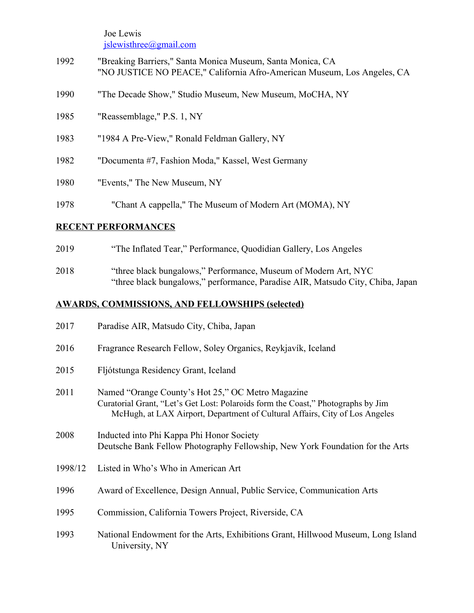- "Breaking Barriers," Santa Monica Museum, Santa Monica, CA "NO JUSTICE NO PEACE," California Afro-American Museum, Los Angeles, CA
- "The Decade Show," Studio Museum, New Museum, MoCHA, NY
- "Reassemblage," P.S. 1, NY
- "1984 A Pre-View," Ronald Feldman Gallery, NY
- "Documenta #7, Fashion Moda," Kassel, West Germany
- "Events," The New Museum, NY
- "Chant A cappella," The Museum of Modern Art (MOMA), NY

#### **RECENT PERFORMANCES**

- "The Inflated Tear," Performance, Quodidian Gallery, Los Angeles
- "three black bungalows," Performance, Museum of Modern Art, NYC "three black bungalows," performance, Paradise AIR, Matsudo City, Chiba, Japan

### **AWARDS, COMMISSIONS, AND FELLOWSHIPS (selected)**

| 2017    | Paradise AIR, Matsudo City, Chiba, Japan                                                                                                                                                                             |
|---------|----------------------------------------------------------------------------------------------------------------------------------------------------------------------------------------------------------------------|
| 2016    | Fragrance Research Fellow, Soley Organics, Reykjavík, Iceland                                                                                                                                                        |
| 2015    | Fljótstunga Residency Grant, Iceland                                                                                                                                                                                 |
| 2011    | Named "Orange County's Hot 25," OC Metro Magazine<br>Curatorial Grant, "Let's Get Lost: Polaroids form the Coast," Photographs by Jim<br>McHugh, at LAX Airport, Department of Cultural Affairs, City of Los Angeles |
| 2008    | Inducted into Phi Kappa Phi Honor Society<br>Deutsche Bank Fellow Photography Fellowship, New York Foundation for the Arts                                                                                           |
| 1998/12 | Listed in Who's Who in American Art                                                                                                                                                                                  |
| 1996    | Award of Excellence, Design Annual, Public Service, Communication Arts                                                                                                                                               |
| 1995    | Commission, California Towers Project, Riverside, CA                                                                                                                                                                 |
| 1993    | National Endowment for the Arts, Exhibitions Grant, Hillwood Museum, Long Island<br>University, NY                                                                                                                   |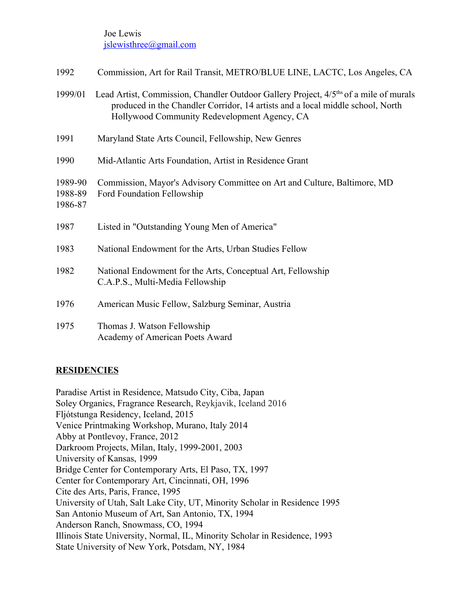| 1992                          | Commission, Art for Rail Transit, METRO/BLUE LINE, LACTC, Los Angeles, CA                                                                                                                                                           |
|-------------------------------|-------------------------------------------------------------------------------------------------------------------------------------------------------------------------------------------------------------------------------------|
| 1999/01                       | Lead Artist, Commission, Chandler Outdoor Gallery Project, 4/5 <sup>ths</sup> of a mile of murals<br>produced in the Chandler Corridor, 14 artists and a local middle school, North<br>Hollywood Community Redevelopment Agency, CA |
| 1991                          | Maryland State Arts Council, Fellowship, New Genres                                                                                                                                                                                 |
| 1990                          | Mid-Atlantic Arts Foundation, Artist in Residence Grant                                                                                                                                                                             |
| 1989-90<br>1988-89<br>1986-87 | Commission, Mayor's Advisory Committee on Art and Culture, Baltimore, MD<br>Ford Foundation Fellowship                                                                                                                              |
| 1987                          | Listed in "Outstanding Young Men of America"                                                                                                                                                                                        |
| 1983                          | National Endowment for the Arts, Urban Studies Fellow                                                                                                                                                                               |
| 1982                          | National Endowment for the Arts, Conceptual Art, Fellowship<br>C.A.P.S., Multi-Media Fellowship                                                                                                                                     |
| 1976                          | American Music Fellow, Salzburg Seminar, Austria                                                                                                                                                                                    |
| 1975                          | Thomas J. Watson Fellowship<br>Academy of American Poets Award                                                                                                                                                                      |

### **RESIDENCIES**

Paradise Artist in Residence, Matsudo City, Ciba, Japan Soley Organics, Fragrance Research, Reykjavik, Iceland 2016 Fljótstunga Residency, Iceland, 2015 Venice Printmaking Workshop, Murano, Italy 2014 Abby at Pontlevoy, France, 2012 Darkroom Projects, Milan, Italy, 1999-2001, 2003 University of Kansas, 1999 Bridge Center for Contemporary Arts, El Paso, TX, 1997 Center for Contemporary Art, Cincinnati, OH, 1996 Cite des Arts, Paris, France, 1995 University of Utah, Salt Lake City, UT, Minority Scholar in Residence 1995 San Antonio Museum of Art, San Antonio, TX, 1994 Anderson Ranch, Snowmass, CO, 1994 Illinois State University, Normal, IL, Minority Scholar in Residence, 1993 State University of New York, Potsdam, NY, 1984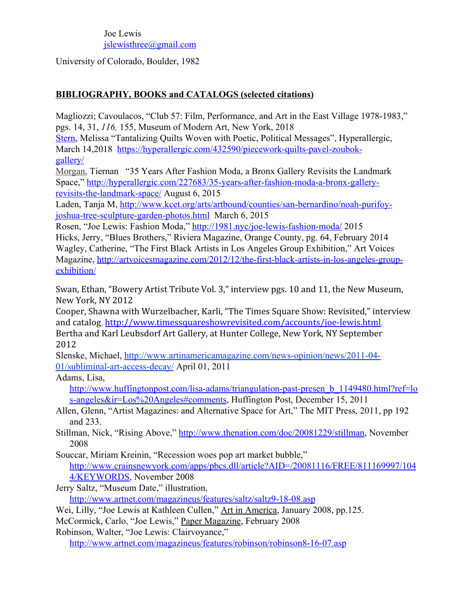University of Colorado, Boulder, 1982

### **BIBLIOGRAPHY, BOOKS and CATALOGS (selected citations)**

Magliozzi; Cavoulacos, "Club 57: Film, Performance, and Art in the East Village 1978-1983," pgs. 14, 31, *116,* 155, Museum of Modern Art, New York, 2018

[Stern,](https://hyperallergic.com/author/melissa-stern/) Melissa ["Tantalizing Quilts Woven with Poetic, Political Messages", Hyperallergic,](https://hyperallergic.com/432590/piecework-quilts-pavel-zoubok-gallery/?utm_source=facebook&utm_medium=social&utm_campaign=sw) March 14,2018 [https://hyperallergic.com/432590/piecework-quilts-pavel-zoubok](https://hyperallergic.com/432590/piecework-quilts-pavel-zoubok-%09gallery/)[gallery/](https://hyperallergic.com/432590/piecework-quilts-pavel-zoubok-%09gallery/)

[Morgan,](http://hyperallergic.com/author/tiernan-morgan/) Tiernan "35 Years After Fashion Moda, a Bronx Gallery Revisits the Landmark Space," [http://hyperallergic.com/227683/35-years-after-fashion-moda-a-bronx-gallery](http://hyperallergic.com/227683/35-years-after-fashion-moda-a-bronx-gallery-%09revisits-the-landmark-space/)[revisits-the-landmark-space/](http://hyperallergic.com/227683/35-years-after-fashion-moda-a-bronx-gallery-%09revisits-the-landmark-space/) August 6, 2015

Laden, Tanja M, [http://www.kcet.org/arts/artbound/counties/san-bernardino/noah-purifoy](http://www.kcet.org/arts/artbound/counties/san-bernardino/noah-purifoy-%09joshua-tree-sculpture-garden-photos.html)[joshua-tree-sculpture-garden-photos.html](http://www.kcet.org/arts/artbound/counties/san-bernardino/noah-purifoy-%09joshua-tree-sculpture-garden-photos.html) March 6, 2015

Rosen, "Joe Lewis: Fashion Moda,"<http://1981.nyc/joe-lewis-fashion-moda/>2015 Hicks, Jerry, "Blues Brothers," Riviera Magazine, Orange County, pg. 64, February 2014 Wagley, Catherine, "The First Black Artists in Los Angeles Group Exhibition," Art Voices Magazine, [http://artvoicesmagazine.com/2012/12/the-first-black-artists-in-los-angeles-group](http://artvoicesmagazine.com/2012/12/the-first-black-artists-in-los-angeles-group-%09exhibition/)[exhibition/](http://artvoicesmagazine.com/2012/12/the-first-black-artists-in-los-angeles-group-%09exhibition/)

Swan, Ethan, "Bowery Artist Tribute Vol. 3," interview pgs. 10 and 11, the New Museum, New York, NY 2012

Cooper, Shawna with Wurzelbacher, Karli, "The Times Square Show: Revisited," interview and catalog, <http://www.timessquareshowrevisited.com/accounts/joe-lewis.html>, Bertha and Karl Leubsdorf Art Gallery, at Hunter College, New York, NY September 2012

Slenske, Michael, [http://www.artinamericamagazine.com/news-opinion/news/2011-04-](http://www.artinamericamagazine.com/news-opinion/news/2011-04-%0901/subliminal-art-access-decay/) [01/subliminal-art-access-decay/](http://www.artinamericamagazine.com/news-opinion/news/2011-04-%0901/subliminal-art-access-decay/) April 01, 2011

Adams, Lisa,

[http://www.huffingtonpost.com/lisa-adams/triangulation-past-presen\\_b\\_1149480.html?ref=lo](http://www.huffingtonpost.com/lisa-adams/triangulation-past-presen_b_1149480.html?ref=los-angeles&ir=Los%20Angeles#comments) [s-angeles&ir=Los%20Angeles#comments](http://www.huffingtonpost.com/lisa-adams/triangulation-past-presen_b_1149480.html?ref=los-angeles&ir=Los%20Angeles#comments), Huffington Post, December 15, 2011

Allen, Glenn, "Artist Magazines: and Alternative Space for Art," The MIT Press, 2011, pp 192 and 233.

Stillman, Nick, "Rising Above," [http://www.thenation.com/doc/20081229/stillman,](http://www.thenation.com/doc/20081229/stillman) November 2008

Souccar, Miriam Kreinin, "Recession woes pop art market bubble," [http://www.crainsnewyork.com/apps/pbcs.dll/article?AID=/20081116/FREE/811169997/104](http://www.crainsnewyork.com/apps/pbcs.dll/article?AID=/20081116/FREE/811169997/1044/KEYWORDS) [4/KEYWORDS](http://www.crainsnewyork.com/apps/pbcs.dll/article?AID=/20081116/FREE/811169997/1044/KEYWORDS), November 2008

Jerry Saltz, "Museum Date," illustration,

<http://www.artnet.com/magazineus/features/saltz/saltz9-18-08.asp>

Wei, Lilly, "Joe Lewis at Kathleen Cullen," Art in America, January 2008, pp.125.

McCormick, Carlo, "Joe Lewis," Paper Magazine, February 2008

Robinson, Walter, "Joe Lewis: Clairvoyance,"

<http://www.artnet.com/magazineus/features/robinson/robinson8-16-07.asp>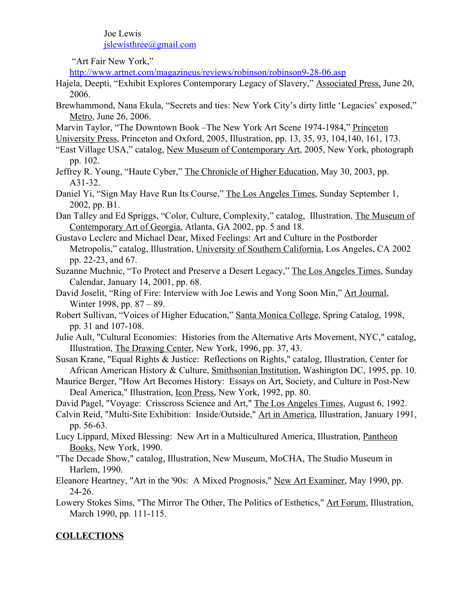"Art Fair New York,"

<http://www.artnet.com/magazineus/reviews/robinson/robinson9-28-06.asp>

- Hajela, Deepti, "Exhibit Explores Contemporary Legacy of Slavery," Associated Press, June 20, 2006.
- Brewhammond, Nana Ekula, "Secrets and ties: New York City's dirty little 'Legacies' exposed," Metro, June 26, 2006.
- Marvin Taylor, "The Downtown Book –The New York Art Scene 1974-1984," Princeton
- University Press, Princeton and Oxford, 2005, Illustration, pp. 13, 35, 93, 104,140, 161, 173.
- "East Village USA," catalog, New Museum of Contemporary Art, 2005, New York, photograph pp. 102.
- Jeffrey R. Young, "Haute Cyber," The Chronicle of Higher Education, May 30, 2003, pp. A31-32.
- Daniel Yi, "Sign May Have Run Its Course," The Los Angeles Times, Sunday September 1, 2002, pp. B1.
- Dan Talley and Ed Spriggs, "Color, Culture, Complexity," catalog, Illustration, The Museum of Contemporary Art of Georgia, Atlanta, GA 2002, pp. 5 and 18.
- Gustavo Leclerc and Michael Dear, Mixed Feelings: Art and Culture in the Postborder Metropolis," catalog, Illustration, University of Southern California, Los Angeles, CA 2002 pp. 22-23, and 67.
- Suzanne Muchnic, "To Protect and Preserve a Desert Legacy," The Los Angeles Times, Sunday Calendar, January 14, 2001, pp. 68.
- David Joselit, "Ring of Fire: Interview with Joe Lewis and Yong Soon Min," Art Journal, Winter 1998, pp. 87 – 89.
- Robert Sullivan, "Voices of Higher Education," Santa Monica College, Spring Catalog, 1998, pp. 31 and 107-108.
- Julie Ault, "Cultural Economies: Histories from the Alternative Arts Movement, NYC," catalog, Illustration, The Drawing Center, New York, 1996, pp. 37, 43.
- Susan Krane, "Equal Rights & Justice: Reflections on Rights," catalog, Illustration, Center for African American History & Culture, Smithsonian Institution, Washington DC, 1995, pp. 10.
- Maurice Berger, "How Art Becomes History: Essays on Art, Society, and Culture in Post-New Deal America," Illustration, Icon Press, New York, 1992, pp. 80.
- David Pagel, "Voyage: Crisscross Science and Art," The Los Angeles Times, August 6, 1992.
- Calvin Reid, "Multi-Site Exhibition: Inside/Outside," Art in America, Illustration, January 1991, pp. 56-63.
- Lucy Lippard, Mixed Blessing: New Art in a Multicultured America, Illustration, Pantheon Books, New York, 1990.
- "The Decade Show," catalog, Illustration, New Museum, MoCHA, The Studio Museum in Harlem, 1990.
- Eleanore Heartney, "Art in the '90s: A Mixed Prognosis," New Art Examiner, May 1990, pp. 24-26.
- Lowery Stokes Sims, "The Mirror The Other, The Politics of Esthetics," Art Forum, Illustration, March 1990, pp. 111-115.

## **COLLECTIONS**